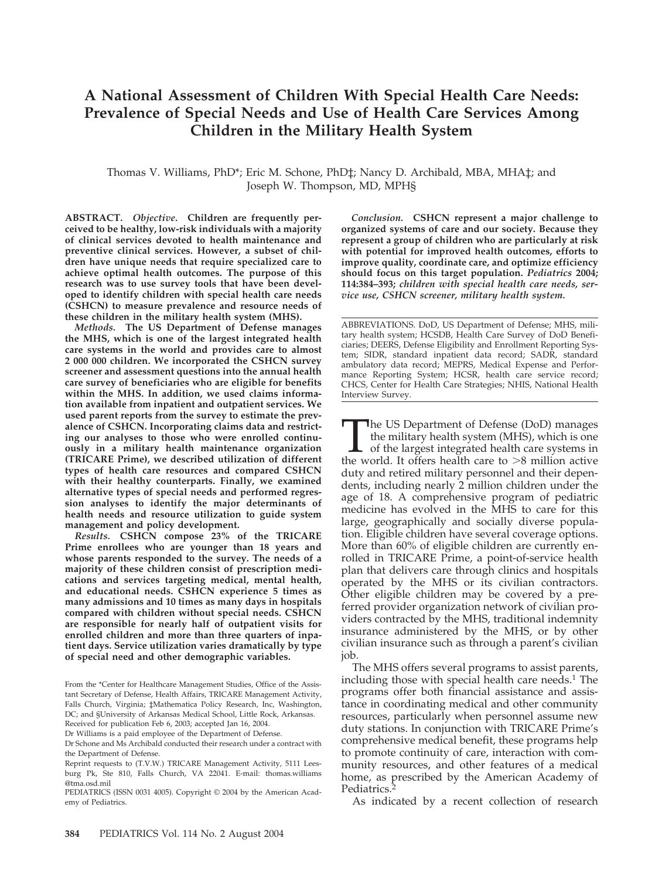# **A National Assessment of Children With Special Health Care Needs: Prevalence of Special Needs and Use of Health Care Services Among Children in the Military Health System**

# Thomas V. Williams, PhD\*; Eric M. Schone, PhD‡; Nancy D. Archibald, MBA, MHA‡; and Joseph W. Thompson, MD, MPH§

**ABSTRACT.** *Objective.* **Children are frequently perceived to be healthy, low-risk individuals with a majority of clinical services devoted to health maintenance and preventive clinical services. However, a subset of children have unique needs that require specialized care to achieve optimal health outcomes. The purpose of this research was to use survey tools that have been developed to identify children with special health care needs (CSHCN) to measure prevalence and resource needs of these children in the military health system (MHS).**

*Methods.* **The US Department of Defense manages the MHS, which is one of the largest integrated health care systems in the world and provides care to almost 2 000 000 children. We incorporated the CSHCN survey screener and assessment questions into the annual health care survey of beneficiaries who are eligible for benefits within the MHS. In addition, we used claims information available from inpatient and outpatient services. We used parent reports from the survey to estimate the prevalence of CSHCN. Incorporating claims data and restricting our analyses to those who were enrolled continuously in a military health maintenance organization (TRICARE Prime), we described utilization of different types of health care resources and compared CSHCN with their healthy counterparts. Finally, we examined alternative types of special needs and performed regression analyses to identify the major determinants of health needs and resource utilization to guide system management and policy development.**

*Results.* **CSHCN compose 23% of the TRICARE Prime enrollees who are younger than 18 years and whose parents responded to the survey. The needs of a majority of these children consist of prescription medications and services targeting medical, mental health, and educational needs. CSHCN experience 5 times as many admissions and 10 times as many days in hospitals compared with children without special needs. CSHCN are responsible for nearly half of outpatient visits for enrolled children and more than three quarters of inpatient days. Service utilization varies dramatically by type of special need and other demographic variables.**

From the \*Center for Healthcare Management Studies, Office of the Assistant Secretary of Defense, Health Affairs, TRICARE Management Activity, Falls Church, Virginia; ‡Mathematica Policy Research, Inc, Washington, DC; and §University of Arkansas Medical School, Little Rock, Arkansas. Received for publication Feb 6, 2003; accepted Jan 16, 2004.

Dr Williams is a paid employee of the Department of Defense.

Dr Schone and Ms Archibald conducted their research under a contract with the Department of Defense.

Reprint requests to (T.V.W.) TRICARE Management Activity, 5111 Leesburg Pk, Ste 810, Falls Church, VA 22041. E-mail: thomas.williams @tma.osd.mil

PEDIATRICS (ISSN 0031 4005). Copyright © 2004 by the American Academy of Pediatrics.

*Conclusion.* **CSHCN represent a major challenge to organized systems of care and our society. Because they represent a group of children who are particularly at risk with potential for improved health outcomes, efforts to improve quality, coordinate care, and optimize efficiency should focus on this target population.** *Pediatrics* **2004; 114:384–393;** *children with special health care needs, service use, CSHCN screener, military health system.*

ABBREVIATIONS. DoD, US Department of Defense; MHS, military health system; HCSDB, Health Care Survey of DoD Beneficiaries; DEERS, Defense Eligibility and Enrollment Reporting System; SIDR, standard inpatient data record; SADR, standard ambulatory data record; MEPRS, Medical Expense and Performance Reporting System; HCSR, health care service record; CHCS, Center for Health Care Strategies; NHIS, National Health Interview Survey.

The US Department of Defense (DoD) manages<br>the military health system (MHS), which is one<br>of the largest integrated health care systems in<br>the world. It offers health care to >8 million active the military health system (MHS), which is one of the largest integrated health care systems in the world. It offers health care to  $>8$  million active duty and retired military personnel and their dependents, including nearly 2 million children under the age of 18. A comprehensive program of pediatric medicine has evolved in the MHS to care for this large, geographically and socially diverse population. Eligible children have several coverage options. More than 60% of eligible children are currently enrolled in TRICARE Prime, a point-of-service health plan that delivers care through clinics and hospitals operated by the MHS or its civilian contractors. Other eligible children may be covered by a preferred provider organization network of civilian providers contracted by the MHS, traditional indemnity insurance administered by the MHS, or by other civilian insurance such as through a parent's civilian job.

The MHS offers several programs to assist parents, including those with special health care needs.<sup>1</sup> The programs offer both financial assistance and assistance in coordinating medical and other community resources, particularly when personnel assume new duty stations. In conjunction with TRICARE Prime's comprehensive medical benefit, these programs help to promote continuity of care, interaction with community resources, and other features of a medical home, as prescribed by the American Academy of Pediatrics.<sup>2</sup>

As indicated by a recent collection of research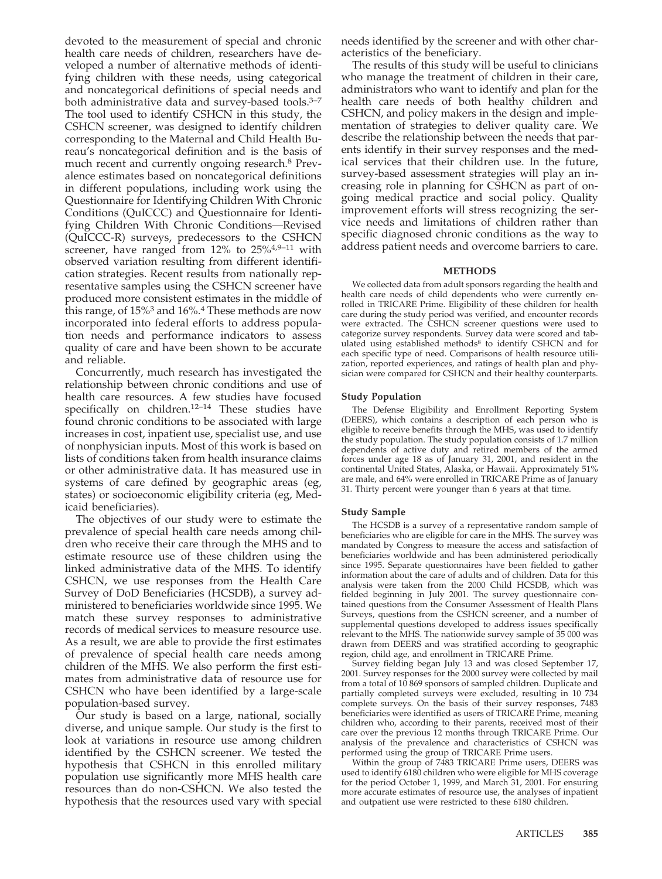devoted to the measurement of special and chronic health care needs of children, researchers have developed a number of alternative methods of identifying children with these needs, using categorical and noncategorical definitions of special needs and both administrative data and survey-based tools.3–7 The tool used to identify CSHCN in this study, the CSHCN screener, was designed to identify children corresponding to the Maternal and Child Health Bureau's noncategorical definition and is the basis of much recent and currently ongoing research.8 Prevalence estimates based on noncategorical definitions in different populations, including work using the Questionnaire for Identifying Children With Chronic Conditions (QuICCC) and Questionnaire for Identifying Children With Chronic Conditions—Revised (QuICCC-R) surveys, predecessors to the CSHCN screener, have ranged from  $12\%$  to  $25\%^{4,9-11}$  with observed variation resulting from different identification strategies. Recent results from nationally representative samples using the CSHCN screener have produced more consistent estimates in the middle of this range, of 15%<sup>3</sup> and 16%.<sup>4</sup> These methods are now incorporated into federal efforts to address population needs and performance indicators to assess quality of care and have been shown to be accurate and reliable.

Concurrently, much research has investigated the relationship between chronic conditions and use of health care resources. A few studies have focused specifically on children.<sup>12-14</sup> These studies have found chronic conditions to be associated with large increases in cost, inpatient use, specialist use, and use of nonphysician inputs. Most of this work is based on lists of conditions taken from health insurance claims or other administrative data. It has measured use in systems of care defined by geographic areas (eg, states) or socioeconomic eligibility criteria (eg, Medicaid beneficiaries).

The objectives of our study were to estimate the prevalence of special health care needs among children who receive their care through the MHS and to estimate resource use of these children using the linked administrative data of the MHS. To identify CSHCN, we use responses from the Health Care Survey of DoD Beneficiaries (HCSDB), a survey administered to beneficiaries worldwide since 1995. We match these survey responses to administrative records of medical services to measure resource use. As a result, we are able to provide the first estimates of prevalence of special health care needs among children of the MHS. We also perform the first estimates from administrative data of resource use for CSHCN who have been identified by a large-scale population-based survey.

Our study is based on a large, national, socially diverse, and unique sample. Our study is the first to look at variations in resource use among children identified by the CSHCN screener. We tested the hypothesis that CSHCN in this enrolled military population use significantly more MHS health care resources than do non-CSHCN. We also tested the hypothesis that the resources used vary with special

needs identified by the screener and with other characteristics of the beneficiary.

The results of this study will be useful to clinicians who manage the treatment of children in their care, administrators who want to identify and plan for the health care needs of both healthy children and CSHCN, and policy makers in the design and implementation of strategies to deliver quality care. We describe the relationship between the needs that parents identify in their survey responses and the medical services that their children use. In the future, survey-based assessment strategies will play an increasing role in planning for CSHCN as part of ongoing medical practice and social policy. Quality improvement efforts will stress recognizing the service needs and limitations of children rather than specific diagnosed chronic conditions as the way to address patient needs and overcome barriers to care.

# **METHODS**

We collected data from adult sponsors regarding the health and health care needs of child dependents who were currently enrolled in TRICARE Prime. Eligibility of these children for health care during the study period was verified, and encounter records were extracted. The CSHCN screener questions were used to categorize survey respondents. Survey data were scored and tabulated using established methods<sup>8</sup> to identify CSHCN and for each specific type of need. Comparisons of health resource utilization, reported experiences, and ratings of health plan and physician were compared for CSHCN and their healthy counterparts.

#### **Study Population**

The Defense Eligibility and Enrollment Reporting System (DEERS), which contains a description of each person who is eligible to receive benefits through the MHS, was used to identify the study population. The study population consists of 1.7 million dependents of active duty and retired members of the armed forces under age 18 as of January 31, 2001, and resident in the continental United States, Alaska, or Hawaii. Approximately 51% are male, and 64% were enrolled in TRICARE Prime as of January 31. Thirty percent were younger than 6 years at that time.

#### **Study Sample**

The HCSDB is a survey of a representative random sample of beneficiaries who are eligible for care in the MHS. The survey was mandated by Congress to measure the access and satisfaction of beneficiaries worldwide and has been administered periodically since 1995. Separate questionnaires have been fielded to gather information about the care of adults and of children. Data for this analysis were taken from the 2000 Child HCSDB, which was fielded beginning in July 2001. The survey questionnaire contained questions from the Consumer Assessment of Health Plans Surveys, questions from the CSHCN screener, and a number of supplemental questions developed to address issues specifically relevant to the MHS. The nationwide survey sample of 35 000 was drawn from DEERS and was stratified according to geographic region, child age, and enrollment in TRICARE Prime.

Survey fielding began July 13 and was closed September 17, 2001. Survey responses for the 2000 survey were collected by mail from a total of 10 869 sponsors of sampled children. Duplicate and partially completed surveys were excluded, resulting in 10 734 complete surveys. On the basis of their survey responses, 7483 beneficiaries were identified as users of TRICARE Prime, meaning children who, according to their parents, received most of their care over the previous 12 months through TRICARE Prime. Our analysis of the prevalence and characteristics of CSHCN was performed using the group of TRICARE Prime users.

Within the group of 7483 TRICARE Prime users, DEERS was used to identify 6180 children who were eligible for MHS coverage for the period October 1, 1999, and March 31, 2001. For ensuring more accurate estimates of resource use, the analyses of inpatient and outpatient use were restricted to these 6180 children.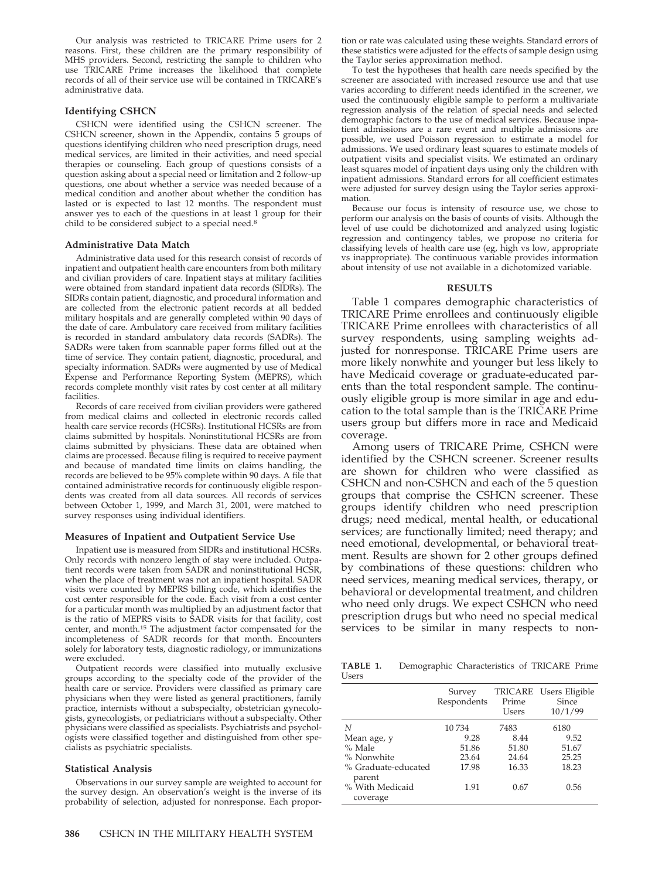Our analysis was restricted to TRICARE Prime users for 2 reasons. First, these children are the primary responsibility of MHS providers. Second, restricting the sample to children who use TRICARE Prime increases the likelihood that complete records of all of their service use will be contained in TRICARE's administrative data.

#### **Identifying CSHCN**

CSHCN were identified using the CSHCN screener. The CSHCN screener, shown in the Appendix, contains 5 groups of questions identifying children who need prescription drugs, need medical services, are limited in their activities, and need special therapies or counseling. Each group of questions consists of a question asking about a special need or limitation and 2 follow-up questions, one about whether a service was needed because of a medical condition and another about whether the condition has lasted or is expected to last 12 months. The respondent must answer yes to each of the questions in at least 1 group for their child to be considered subject to a special need.<sup>8</sup>

#### **Administrative Data Match**

Administrative data used for this research consist of records of inpatient and outpatient health care encounters from both military and civilian providers of care. Inpatient stays at military facilities were obtained from standard inpatient data records (SIDRs). The SIDRs contain patient, diagnostic, and procedural information and are collected from the electronic patient records at all bedded military hospitals and are generally completed within 90 days of the date of care. Ambulatory care received from military facilities is recorded in standard ambulatory data records (SADRs). The SADRs were taken from scannable paper forms filled out at the time of service. They contain patient, diagnostic, procedural, and specialty information. SADRs were augmented by use of Medical Expense and Performance Reporting System (MEPRS), which records complete monthly visit rates by cost center at all military facilities.

Records of care received from civilian providers were gathered from medical claims and collected in electronic records called health care service records (HCSRs). Institutional HCSRs are from claims submitted by hospitals. Noninstitutional HCSRs are from claims submitted by physicians. These data are obtained when claims are processed. Because filing is required to receive payment and because of mandated time limits on claims handling, the records are believed to be 95% complete within 90 days. A file that contained administrative records for continuously eligible respondents was created from all data sources. All records of services between October 1, 1999, and March 31, 2001, were matched to survey responses using individual identifiers.

### **Measures of Inpatient and Outpatient Service Use**

Inpatient use is measured from SIDRs and institutional HCSRs. Only records with nonzero length of stay were included. Outpatient records were taken from SADR and noninstitutional HCSR, when the place of treatment was not an inpatient hospital. SADR visits were counted by MEPRS billing code, which identifies the cost center responsible for the code. Each visit from a cost center for a particular month was multiplied by an adjustment factor that is the ratio of MEPRS visits to SADR visits for that facility, cost center, and month.15 The adjustment factor compensated for the incompleteness of SADR records for that month. Encounters solely for laboratory tests, diagnostic radiology, or immunizations were excluded.

Outpatient records were classified into mutually exclusive groups according to the specialty code of the provider of the health care or service. Providers were classified as primary care physicians when they were listed as general practitioners, family practice, internists without a subspecialty, obstetrician gynecologists, gynecologists, or pediatricians without a subspecialty. Other physicians were classified as specialists. Psychiatrists and psychologists were classified together and distinguished from other specialists as psychiatric specialists.

#### **Statistical Analysis**

Observations in our survey sample are weighted to account for the survey design. An observation's weight is the inverse of its probability of selection, adjusted for nonresponse. Each proportion or rate was calculated using these weights. Standard errors of these statistics were adjusted for the effects of sample design using the Taylor series approximation method.

To test the hypotheses that health care needs specified by the screener are associated with increased resource use and that use varies according to different needs identified in the screener, we used the continuously eligible sample to perform a multivariate regression analysis of the relation of special needs and selected demographic factors to the use of medical services. Because inpatient admissions are a rare event and multiple admissions are possible, we used Poisson regression to estimate a model for admissions. We used ordinary least squares to estimate models of outpatient visits and specialist visits. We estimated an ordinary least squares model of inpatient days using only the children with inpatient admissions. Standard errors for all coefficient estimates were adjusted for survey design using the Taylor series approximation.

Because our focus is intensity of resource use, we chose to perform our analysis on the basis of counts of visits. Although the level of use could be dichotomized and analyzed using logistic regression and contingency tables, we propose no criteria for classifying levels of health care use (eg, high vs low, appropriate vs inappropriate). The continuous variable provides information about intensity of use not available in a dichotomized variable.

# **RESULTS**

Table 1 compares demographic characteristics of TRICARE Prime enrollees and continuously eligible TRICARE Prime enrollees with characteristics of all survey respondents, using sampling weights adjusted for nonresponse. TRICARE Prime users are more likely nonwhite and younger but less likely to have Medicaid coverage or graduate-educated parents than the total respondent sample. The continuously eligible group is more similar in age and education to the total sample than is the TRICARE Prime users group but differs more in race and Medicaid coverage.

Among users of TRICARE Prime, CSHCN were identified by the CSHCN screener. Screener results are shown for children who were classified as CSHCN and non-CSHCN and each of the 5 question groups that comprise the CSHCN screener. These groups identify children who need prescription drugs; need medical, mental health, or educational services; are functionally limited; need therapy; and need emotional, developmental, or behavioral treatment. Results are shown for 2 other groups defined by combinations of these questions: children who need services, meaning medical services, therapy, or behavioral or developmental treatment, and children who need only drugs. We expect CSHCN who need prescription drugs but who need no special medical services to be similar in many respects to non-

**TABLE 1.** Demographic Characteristics of TRICARE Prime Users

|                     | Survey<br>Respondents | Prime<br>Users | TRICARE Users Eligible<br>Since<br>10/1/99 |
|---------------------|-----------------------|----------------|--------------------------------------------|
| N                   | 10 734                | 7483           | 6180                                       |
| Mean age, y         | 9.28                  | 8.44           | 9.52                                       |
| $%$ Male            | 51.86                 | 51.80          | 51.67                                      |
| % Nonwhite          | 23.64                 | 24.64          | 25.25                                      |
| % Graduate-educated | 17.98                 | 16.33          | 18.23                                      |
| parent              |                       |                |                                            |
| % With Medicaid     | 1.91                  | 0.67           | 0.56                                       |
| coverage            |                       |                |                                            |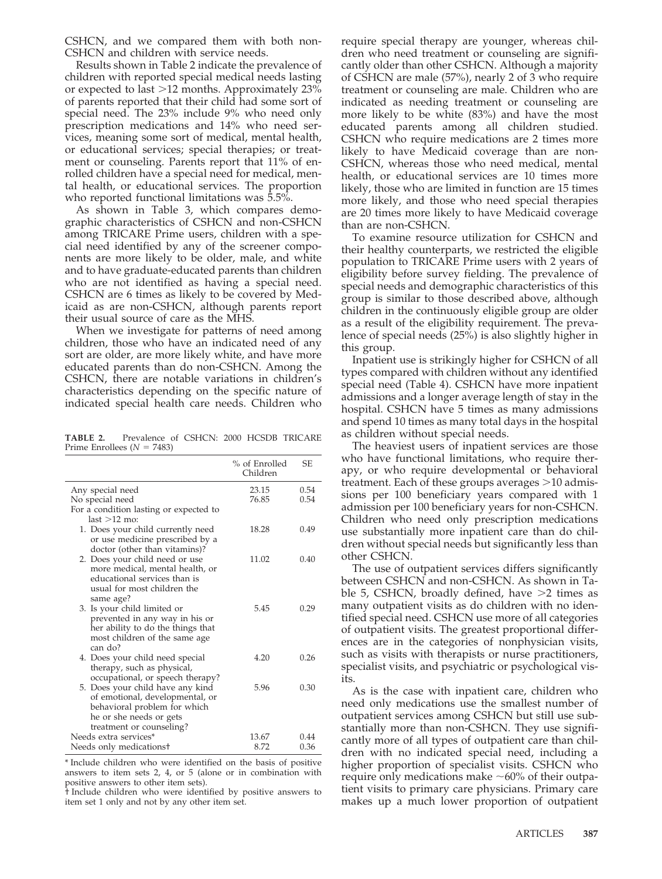CSHCN, and we compared them with both non-CSHCN and children with service needs.

Results shown in Table 2 indicate the prevalence of children with reported special medical needs lasting or expected to last  $>12$  months. Approximately 23% of parents reported that their child had some sort of special need. The 23% include 9% who need only prescription medications and 14% who need services, meaning some sort of medical, mental health, or educational services; special therapies; or treatment or counseling. Parents report that 11% of enrolled children have a special need for medical, mental health, or educational services. The proportion who reported functional limitations was 5.5%.

As shown in Table 3, which compares demographic characteristics of CSHCN and non-CSHCN among TRICARE Prime users, children with a special need identified by any of the screener components are more likely to be older, male, and white and to have graduate-educated parents than children who are not identified as having a special need. CSHCN are 6 times as likely to be covered by Medicaid as are non-CSHCN, although parents report their usual source of care as the MHS.

When we investigate for patterns of need among children, those who have an indicated need of any sort are older, are more likely white, and have more educated parents than do non-CSHCN. Among the CSHCN, there are notable variations in children's characteristics depending on the specific nature of indicated special health care needs. Children who

**TABLE 2.** Prevalence of CSHCN: 2000 HCSDB TRICARE Prime Enrollees  $(N = 7483)$ 

|                                                                                                       | % of Enrolled<br>Children | SF.  |
|-------------------------------------------------------------------------------------------------------|---------------------------|------|
| Any special need                                                                                      | 23.15                     | 0.54 |
| No special need                                                                                       | 76.85                     | 0.54 |
| For a condition lasting or expected to<br>$last > 12$ mo:                                             |                           |      |
| 1. Does your child currently need<br>or use medicine prescribed by a<br>doctor (other than vitamins)? | 18.28                     | 0.49 |
| 2. Does your child need or use                                                                        | 11.02                     | 0.40 |
| more medical, mental health, or<br>educational services than is                                       |                           |      |
| usual for most children the                                                                           |                           |      |
| same age?                                                                                             |                           |      |
| 3. Is your child limited or                                                                           | 5.45                      | 0.29 |
| prevented in any way in his or                                                                        |                           |      |
| her ability to do the things that                                                                     |                           |      |
| most children of the same age                                                                         |                           |      |
| can do?                                                                                               |                           |      |
| 4. Does your child need special                                                                       | 4.20                      | 0.26 |
| therapy, such as physical,                                                                            |                           |      |
| occupational, or speech therapy?<br>5. Does your child have any kind                                  | 5.96                      | 0.30 |
| of emotional, developmental, or                                                                       |                           |      |
| behavioral problem for which                                                                          |                           |      |
| he or she needs or gets                                                                               |                           |      |
| treatment or counseling?                                                                              |                           |      |
| Needs extra services*                                                                                 | 13.67                     | 0.44 |
| Needs only medications <sup>+</sup>                                                                   | 8.72                      | 0.36 |

\* Include children who were identified on the basis of positive answers to item sets 2, 4, or 5 (alone or in combination with positive answers to other item sets).

† Include children who were identified by positive answers to item set 1 only and not by any other item set.

require special therapy are younger, whereas children who need treatment or counseling are significantly older than other CSHCN. Although a majority of CSHCN are male (57%), nearly 2 of 3 who require treatment or counseling are male. Children who are indicated as needing treatment or counseling are more likely to be white (83%) and have the most educated parents among all children studied. CSHCN who require medications are 2 times more likely to have Medicaid coverage than are non-CSHCN, whereas those who need medical, mental health, or educational services are 10 times more likely, those who are limited in function are 15 times more likely, and those who need special therapies are 20 times more likely to have Medicaid coverage than are non-CSHCN.

To examine resource utilization for CSHCN and their healthy counterparts, we restricted the eligible population to TRICARE Prime users with 2 years of eligibility before survey fielding. The prevalence of special needs and demographic characteristics of this group is similar to those described above, although children in the continuously eligible group are older as a result of the eligibility requirement. The prevalence of special needs (25%) is also slightly higher in this group.

Inpatient use is strikingly higher for CSHCN of all types compared with children without any identified special need (Table 4). CSHCN have more inpatient admissions and a longer average length of stay in the hospital. CSHCN have 5 times as many admissions and spend 10 times as many total days in the hospital as children without special needs.

The heaviest users of inpatient services are those who have functional limitations, who require therapy, or who require developmental or behavioral treatment. Each of these groups averages  $>$  10 admissions per 100 beneficiary years compared with 1 admission per 100 beneficiary years for non-CSHCN. Children who need only prescription medications use substantially more inpatient care than do children without special needs but significantly less than other CSHCN.

The use of outpatient services differs significantly between CSHCN and non-CSHCN. As shown in Table 5, CSHCN, broadly defined, have  $>2$  times as many outpatient visits as do children with no identified special need. CSHCN use more of all categories of outpatient visits. The greatest proportional differences are in the categories of nonphysician visits, such as visits with therapists or nurse practitioners, specialist visits, and psychiatric or psychological visits.

As is the case with inpatient care, children who need only medications use the smallest number of outpatient services among CSHCN but still use substantially more than non-CSHCN. They use significantly more of all types of outpatient care than children with no indicated special need, including a higher proportion of specialist visits. CSHCN who require only medications make  $\sim$ 60% of their outpatient visits to primary care physicians. Primary care makes up a much lower proportion of outpatient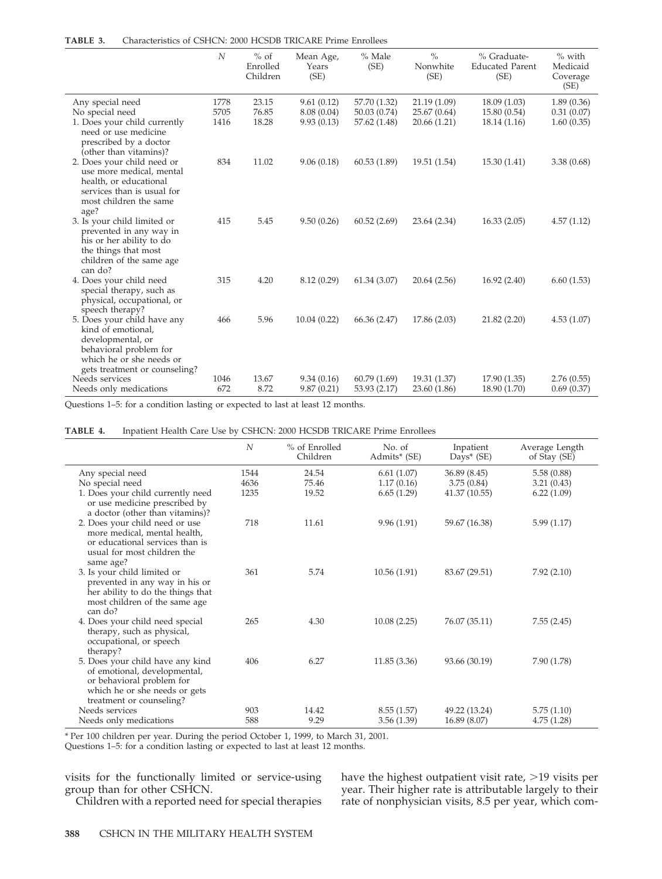| Characteristics of CSHCN: 2000 HCSDB TRICARE Prime Enrollees<br>TABLE 3. |
|--------------------------------------------------------------------------|
|--------------------------------------------------------------------------|

|                                                                                                                                                               | $\boldsymbol{N}$ | $%$ of<br>Enrolled<br>Children | Mean Age,<br>Years<br>(SE) | % Male<br>(SE) | $\frac{0}{0}$<br>Nonwhite<br>(SE) | % Graduate-<br><b>Educated Parent</b><br>(SE) | $%$ with<br>Medicaid<br>Coverage<br>(SE) |
|---------------------------------------------------------------------------------------------------------------------------------------------------------------|------------------|--------------------------------|----------------------------|----------------|-----------------------------------|-----------------------------------------------|------------------------------------------|
| Any special need                                                                                                                                              | 1778             | 23.15                          | 9.61(0.12)                 | 57.70 (1.32)   | 21.19 (1.09)                      | 18.09(1.03)                                   | 1.89(0.36)                               |
| No special need                                                                                                                                               | 5705             | 76.85                          | 8.08(0.04)                 | 50.03 (0.74)   | 25.67(0.64)                       | 15.80(0.54)                                   | 0.31(0.07)                               |
| 1. Does your child currently<br>need or use medicine<br>prescribed by a doctor<br>(other than vitamins)?                                                      | 1416             | 18.28                          | 9.93(0.13)                 | 57.62 (1.48)   | 20.66 (1.21)                      | 18.14 (1.16)                                  | 1.60(0.35)                               |
| 2. Does your child need or<br>use more medical, mental<br>health, or educational<br>services than is usual for<br>most children the same<br>age?              | 834              | 11.02                          | 9.06(0.18)                 | 60.53(1.89)    | 19.51 (1.54)                      | 15.30(1.41)                                   | 3.38(0.68)                               |
| 3. Is your child limited or<br>prevented in any way in<br>his or her ability to do<br>the things that most<br>children of the same age<br>can do?             | 415              | 5.45                           | 9.50(0.26)                 | 60.52(2.69)    | 23.64 (2.34)                      | 16.33(2.05)                                   | 4.57(1.12)                               |
| 4. Does your child need<br>special therapy, such as<br>physical, occupational, or<br>speech therapy?                                                          | 315              | 4.20                           | 8.12(0.29)                 | 61.34(3.07)    | 20.64 (2.56)                      | 16.92(2.40)                                   | 6.60(1.53)                               |
| 5. Does your child have any<br>kind of emotional,<br>developmental, or<br>behavioral problem for<br>which he or she needs or<br>gets treatment or counseling? | 466              | 5.96                           | 10.04(0.22)                | 66.36 (2.47)   | 17.86 (2.03)                      | 21.82 (2.20)                                  | 4.53(1.07)                               |
| Needs services                                                                                                                                                | 1046             | 13.67                          | 9.34(0.16)                 | 60.79(1.69)    | 19.31 (1.37)                      | 17.90 (1.35)                                  | 2.76(0.55)                               |
| Needs only medications                                                                                                                                        | 672              | 8.72                           | 9.87(0.21)                 | 53.93 (2.17)   | 23.60 (1.86)                      | 18.90 (1.70)                                  | 0.69(0.37)                               |

Questions 1–5: for a condition lasting or expected to last at least 12 months.

|                                                                                                                                                            | N            | % of Enrolled<br>Children | No. of<br>Admits* (SE)   | Inpatient<br>$Days^*$ (SE) | Average Length<br>of Stay (SE) |
|------------------------------------------------------------------------------------------------------------------------------------------------------------|--------------|---------------------------|--------------------------|----------------------------|--------------------------------|
| Any special need<br>No special need                                                                                                                        | 1544<br>4636 | 24.54<br>75.46            | 6.61(1.07)<br>1.17(0.16) | 36.89 (8.45)<br>3.75(0.84) | 5.58(0.88)<br>3.21(0.43)       |
| 1. Does your child currently need<br>or use medicine prescribed by<br>a doctor (other than vitamins)?                                                      | 1235         | 19.52                     | 6.65(1.29)               | 41.37 (10.55)              | 6.22(1.09)                     |
| 2. Does your child need or use<br>more medical, mental health,<br>or educational services than is<br>usual for most children the<br>same age?              | 718          | 11.61                     | 9.96(1.91)               | 59.67 (16.38)              | 5.99(1.17)                     |
| 3. Is your child limited or<br>prevented in any way in his or<br>her ability to do the things that<br>most children of the same age<br>can do?             | 361          | 5.74                      | 10.56(1.91)              | 83.67 (29.51)              | 7.92(2.10)                     |
| 4. Does your child need special<br>therapy, such as physical,<br>occupational, or speech<br>therapy?                                                       | 265          | 4.30                      | 10.08(2.25)              | 76.07 (35.11)              | 7.55(2.45)                     |
| 5. Does your child have any kind<br>of emotional, developmental,<br>or behavioral problem for<br>which he or she needs or gets<br>treatment or counseling? | 406          | 6.27                      | 11.85(3.36)              | 93.66 (30.19)              | 7.90 (1.78)                    |
| Needs services                                                                                                                                             | 903          | 14.42                     | 8.55(1.57)               | 49.22 (13.24)              | 5.75(1.10)                     |
| Needs only medications                                                                                                                                     | 588          | 9.29                      | 3.56(1.39)               | 16.89 (8.07)               | 4.75(1.28)                     |

\* Per 100 children per year. During the period October 1, 1999, to March 31, 2001.

Questions 1–5: for a condition lasting or expected to last at least 12 months.

visits for the functionally limited or service-using group than for other CSHCN.

Children with a reported need for special therapies

have the highest outpatient visit rate, >19 visits per year. Their higher rate is attributable largely to their rate of nonphysician visits, 8.5 per year, which com-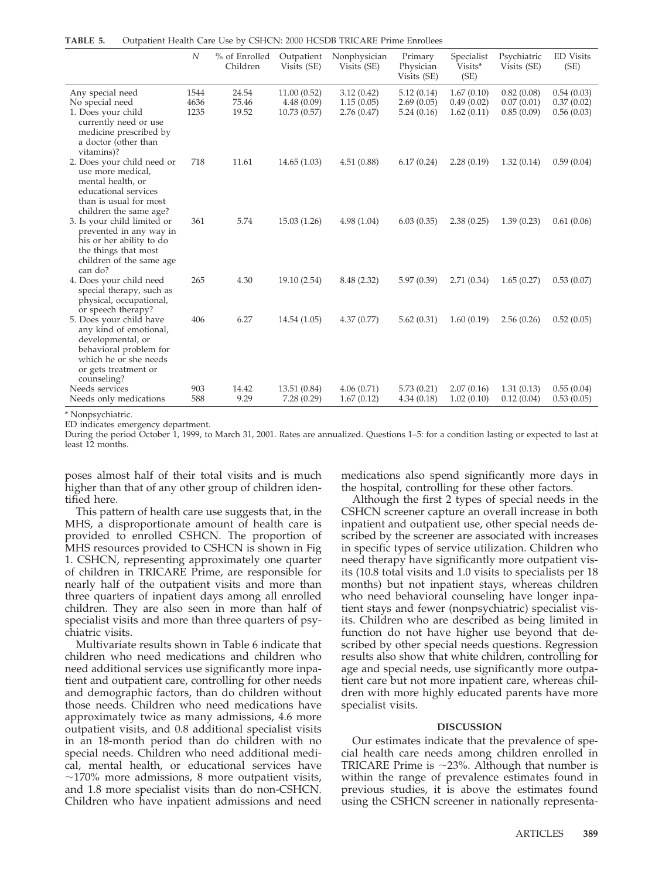| Outpatient Health Care Use by CSHCN: 2000 HCSDB TRICARE Prime Enrollees<br>TABLE 5. |
|-------------------------------------------------------------------------------------|
|-------------------------------------------------------------------------------------|

| N<br>% of Enrolled<br>Nonphysician<br>Psychiatric<br><b>ED</b> Visits<br>Outpatient<br>Primary<br>Specialist<br>Children<br>Visits*<br>(SE)<br>Visits (SE)<br>Visits (SE)<br>Physician<br>Visits (SE)<br>(SE)<br>Visits (SE)<br>1.67(0.10)<br>0.82(0.08)<br>0.54(0.03)<br>Any special need<br>1544<br>24.54<br>11.00(0.52)<br>3.12(0.42)<br>5.12(0.14)<br>No special need<br>4636<br>75.46<br>4.48(0.09)<br>0.49(0.02)<br>0.07(0.01)<br>1.15(0.05)<br>2.69(0.05)<br>0.37(0.02)<br>1. Does your child<br>1235<br>19.52<br>10.73(0.57)<br>2.76(0.47)<br>1.62(0.11)<br>0.85(0.09)<br>0.56(0.03)<br>5.24(0.16)<br>currently need or use<br>medicine prescribed by<br>a doctor (other than<br>vitamins)?<br>718<br>11.61<br>14.65(1.03)<br>4.51(0.88)<br>6.17(0.24)<br>2. Does your child need or<br>2.28(0.19)<br>1.32(0.14)<br>0.59(0.04)<br>use more medical,<br>mental health, or<br>educational services<br>than is usual for most<br>children the same age?<br>5.74<br>3. Is your child limited or<br>361<br>15.03(1.26)<br>4.98(1.04)<br>6.03(0.35)<br>2.38(0.25)<br>1.39(0.23)<br>0.61(0.06)<br>prevented in any way in<br>his or her ability to do<br>the things that most<br>children of the same age<br>can do?<br>4. Does your child need<br>265<br>4.30<br>19.10 (2.54)<br>8.48 (2.32)<br>5.97(0.39)<br>2.71(0.34)<br>1.65(0.27)<br>0.53(0.07)<br>special therapy, such as<br>physical, occupational,<br>or speech therapy?<br>6.27<br>5. Does your child have<br>406<br>14.54 (1.05)<br>4.37(0.77)<br>5.62(0.31)<br>1.60(0.19)<br>2.56(0.26)<br>0.52(0.05)<br>any kind of emotional,<br>developmental, or<br>behavioral problem for<br>which he or she needs<br>or gets treatment or<br>counseling?<br>Needs services<br>903<br>14.42<br>13.51 (0.84)<br>4.06(0.71)<br>5.73(0.21)<br>2.07(0.16)<br>1.31(0.13)<br>0.55(0.04)<br>588<br>9.29<br>Needs only medications<br>7.28(0.29)<br>1.67(0.12)<br>4.34(0.18)<br>1.02(0.10)<br>0.12(0.04)<br>0.53(0.05) |  |  |  |  |  |
|-------------------------------------------------------------------------------------------------------------------------------------------------------------------------------------------------------------------------------------------------------------------------------------------------------------------------------------------------------------------------------------------------------------------------------------------------------------------------------------------------------------------------------------------------------------------------------------------------------------------------------------------------------------------------------------------------------------------------------------------------------------------------------------------------------------------------------------------------------------------------------------------------------------------------------------------------------------------------------------------------------------------------------------------------------------------------------------------------------------------------------------------------------------------------------------------------------------------------------------------------------------------------------------------------------------------------------------------------------------------------------------------------------------------------------------------------------------------------------------------------------------------------------------------------------------------------------------------------------------------------------------------------------------------------------------------------------------------------------------------------------------------------------------------------------------------------------------------------------------------------------------------------------------------------------------------------------------------|--|--|--|--|--|
|                                                                                                                                                                                                                                                                                                                                                                                                                                                                                                                                                                                                                                                                                                                                                                                                                                                                                                                                                                                                                                                                                                                                                                                                                                                                                                                                                                                                                                                                                                                                                                                                                                                                                                                                                                                                                                                                                                                                                                   |  |  |  |  |  |
|                                                                                                                                                                                                                                                                                                                                                                                                                                                                                                                                                                                                                                                                                                                                                                                                                                                                                                                                                                                                                                                                                                                                                                                                                                                                                                                                                                                                                                                                                                                                                                                                                                                                                                                                                                                                                                                                                                                                                                   |  |  |  |  |  |
|                                                                                                                                                                                                                                                                                                                                                                                                                                                                                                                                                                                                                                                                                                                                                                                                                                                                                                                                                                                                                                                                                                                                                                                                                                                                                                                                                                                                                                                                                                                                                                                                                                                                                                                                                                                                                                                                                                                                                                   |  |  |  |  |  |
|                                                                                                                                                                                                                                                                                                                                                                                                                                                                                                                                                                                                                                                                                                                                                                                                                                                                                                                                                                                                                                                                                                                                                                                                                                                                                                                                                                                                                                                                                                                                                                                                                                                                                                                                                                                                                                                                                                                                                                   |  |  |  |  |  |
|                                                                                                                                                                                                                                                                                                                                                                                                                                                                                                                                                                                                                                                                                                                                                                                                                                                                                                                                                                                                                                                                                                                                                                                                                                                                                                                                                                                                                                                                                                                                                                                                                                                                                                                                                                                                                                                                                                                                                                   |  |  |  |  |  |
|                                                                                                                                                                                                                                                                                                                                                                                                                                                                                                                                                                                                                                                                                                                                                                                                                                                                                                                                                                                                                                                                                                                                                                                                                                                                                                                                                                                                                                                                                                                                                                                                                                                                                                                                                                                                                                                                                                                                                                   |  |  |  |  |  |
|                                                                                                                                                                                                                                                                                                                                                                                                                                                                                                                                                                                                                                                                                                                                                                                                                                                                                                                                                                                                                                                                                                                                                                                                                                                                                                                                                                                                                                                                                                                                                                                                                                                                                                                                                                                                                                                                                                                                                                   |  |  |  |  |  |
|                                                                                                                                                                                                                                                                                                                                                                                                                                                                                                                                                                                                                                                                                                                                                                                                                                                                                                                                                                                                                                                                                                                                                                                                                                                                                                                                                                                                                                                                                                                                                                                                                                                                                                                                                                                                                                                                                                                                                                   |  |  |  |  |  |
|                                                                                                                                                                                                                                                                                                                                                                                                                                                                                                                                                                                                                                                                                                                                                                                                                                                                                                                                                                                                                                                                                                                                                                                                                                                                                                                                                                                                                                                                                                                                                                                                                                                                                                                                                                                                                                                                                                                                                                   |  |  |  |  |  |

\* Nonpsychiatric.

ED indicates emergency department.

During the period October 1, 1999, to March 31, 2001. Rates are annualized. Questions 1–5: for a condition lasting or expected to last at least 12 months.

poses almost half of their total visits and is much higher than that of any other group of children identified here.

This pattern of health care use suggests that, in the MHS, a disproportionate amount of health care is provided to enrolled CSHCN. The proportion of MHS resources provided to CSHCN is shown in Fig 1. CSHCN, representing approximately one quarter of children in TRICARE Prime, are responsible for nearly half of the outpatient visits and more than three quarters of inpatient days among all enrolled children. They are also seen in more than half of specialist visits and more than three quarters of psychiatric visits.

Multivariate results shown in Table 6 indicate that children who need medications and children who need additional services use significantly more inpatient and outpatient care, controlling for other needs and demographic factors, than do children without those needs. Children who need medications have approximately twice as many admissions, 4.6 more outpatient visits, and 0.8 additional specialist visits in an 18-month period than do children with no special needs. Children who need additional medical, mental health, or educational services have  $\sim$ 170% more admissions, 8 more outpatient visits, and 1.8 more specialist visits than do non-CSHCN. Children who have inpatient admissions and need medications also spend significantly more days in the hospital, controlling for these other factors.

Although the first 2 types of special needs in the CSHCN screener capture an overall increase in both inpatient and outpatient use, other special needs described by the screener are associated with increases in specific types of service utilization. Children who need therapy have significantly more outpatient visits (10.8 total visits and 1.0 visits to specialists per 18 months) but not inpatient stays, whereas children who need behavioral counseling have longer inpatient stays and fewer (nonpsychiatric) specialist visits. Children who are described as being limited in function do not have higher use beyond that described by other special needs questions. Regression results also show that white children, controlling for age and special needs, use significantly more outpatient care but not more inpatient care, whereas children with more highly educated parents have more specialist visits.

# **DISCUSSION**

Our estimates indicate that the prevalence of special health care needs among children enrolled in TRICARE Prime is  $\sim$ 23%. Although that number is within the range of prevalence estimates found in previous studies, it is above the estimates found using the CSHCN screener in nationally representa-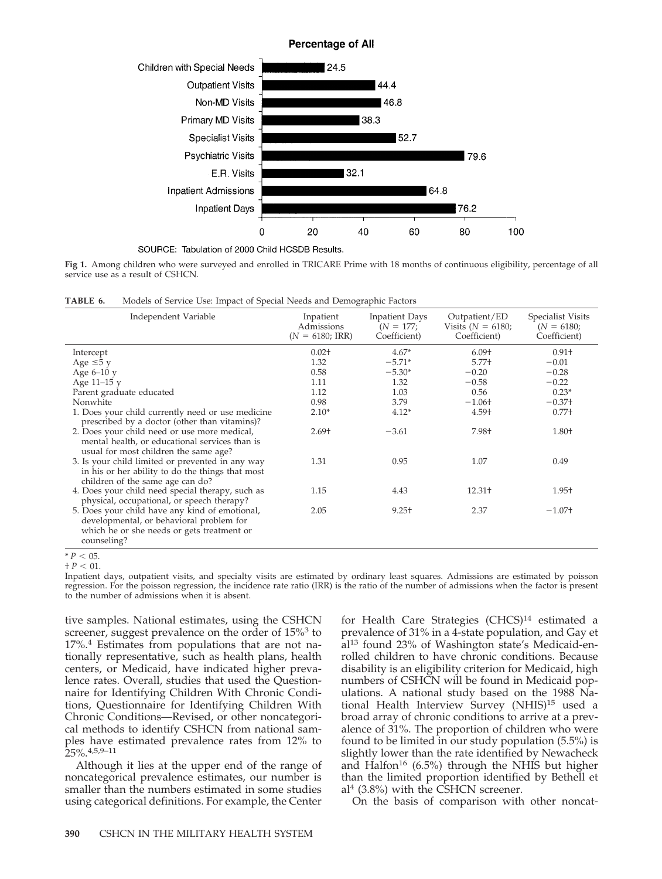# **Percentage of All**



SOURCE: Tabulation of 2000 Child HCSDB Results.

**Fig 1.** Among children who were surveyed and enrolled in TRICARE Prime with 18 months of continuous eligibility, percentage of all service use as a result of CSHCN.

| TABLE 6. |  | Models of Service Use: Impact of Special Needs and Demographic Factors |
|----------|--|------------------------------------------------------------------------|
|----------|--|------------------------------------------------------------------------|

| Independent Variable                                                                                                                                    | Inpatient<br>Admissions<br>$(N = 6180; \text{IRR})$ | <b>Inpatient Days</b><br>$(N = 177)$<br>Coefficient) | Outpatient/ED<br>Visits ( $N = 6180$ ;<br>Coefficient) | Specialist Visits<br>$(N = 6180;$<br>Coefficient) |
|---------------------------------------------------------------------------------------------------------------------------------------------------------|-----------------------------------------------------|------------------------------------------------------|--------------------------------------------------------|---------------------------------------------------|
| Intercept                                                                                                                                               | $0.02+$                                             | $4.67*$                                              | $6.09+$                                                | $0.91 +$                                          |
| Age $\leq$ 5 y                                                                                                                                          | 1.32                                                | $-5.71*$                                             | $5.77+$                                                | $-0.01$                                           |
| Age $6-10$ y                                                                                                                                            | 0.58                                                | $-5.30*$                                             | $-0.20$                                                | $-0.28$                                           |
| Age 11-15 y                                                                                                                                             | 1.11                                                | 1.32                                                 | $-0.58$                                                | $-0.22$                                           |
| Parent graduate educated                                                                                                                                | 1.12                                                | 1.03                                                 | 0.56                                                   | $0.23*$                                           |
| Nonwhite                                                                                                                                                | 0.98                                                | 3.79                                                 | $-1.06+$                                               | $-0.37+$                                          |
| 1. Does your child currently need or use medicine<br>prescribed by a doctor (other than vitamins)?                                                      | $2.10*$                                             | $4.12*$                                              | 4.59+                                                  | $0.77 +$                                          |
| 2. Does your child need or use more medical,<br>mental health, or educational services than is<br>usual for most children the same age?                 | $2.69+$                                             | $-3.61$                                              | 7.98+                                                  | 1.80+                                             |
| 3. Is your child limited or prevented in any way<br>in his or her ability to do the things that most<br>children of the same age can do?                | 1.31                                                | 0.95                                                 | 1.07                                                   | 0.49                                              |
| 4. Does your child need special therapy, such as<br>physical, occupational, or speech therapy?                                                          | 1.15                                                | 4.43                                                 | 12.31 <sup>†</sup>                                     | $1.95+$                                           |
| 5. Does your child have any kind of emotional,<br>developmental, or behavioral problem for<br>which he or she needs or gets treatment or<br>counseling? | 2.05                                                | $9.25+$                                              | 2.37                                                   | $-1.07+$                                          |

 $* P < 05$ .

Inpatient days, outpatient visits, and specialty visits are estimated by ordinary least squares. Admissions are estimated by poisson regression. For the poisson regression, the incidence rate ratio (IRR) is the ratio of the number of admissions when the factor is present to the number of admissions when it is absent.

tive samples. National estimates, using the CSHCN screener, suggest prevalence on the order of 15%<sup>3</sup> to 17%.4 Estimates from populations that are not nationally representative, such as health plans, health centers, or Medicaid, have indicated higher prevalence rates. Overall, studies that used the Questionnaire for Identifying Children With Chronic Conditions, Questionnaire for Identifying Children With Chronic Conditions—Revised, or other noncategorical methods to identify CSHCN from national samples have estimated prevalence rates from 12% to  $25\%$ , 4,5,9-11

Although it lies at the upper end of the range of noncategorical prevalence estimates, our number is smaller than the numbers estimated in some studies using categorical definitions. For example, the Center

for Health Care Strategies (CHCS)<sup>14</sup> estimated a prevalence of 31% in a 4-state population, and Gay et al<sup>13</sup> found 23% of Washington state's Medicaid-enrolled children to have chronic conditions. Because disability is an eligibility criterion for Medicaid, high numbers of CSHCN will be found in Medicaid populations. A national study based on the 1988 National Health Interview Survey (NHIS)15 used a broad array of chronic conditions to arrive at a prevalence of 31%. The proportion of children who were found to be limited in our study population (5.5%) is slightly lower than the rate identified by Newacheck and Halfon<sup>16</sup> (6.5%) through the NHIS but higher than the limited proportion identified by Bethell et  $al<sup>4</sup>$  (3.8%) with the CSHCN screener.

On the basis of comparison with other noncat-

 $+ P < 01.$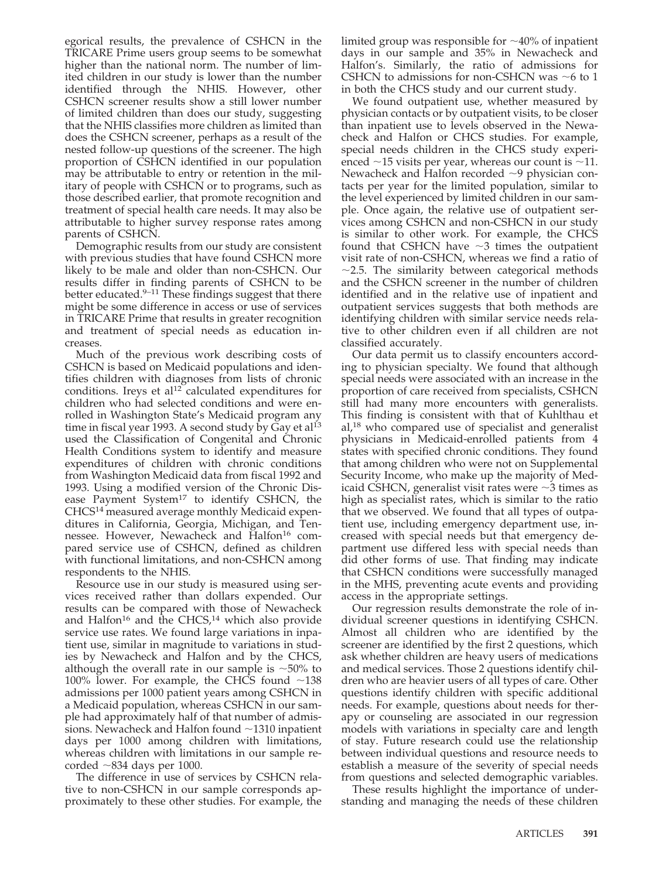egorical results, the prevalence of CSHCN in the TRICARE Prime users group seems to be somewhat higher than the national norm. The number of limited children in our study is lower than the number identified through the NHIS. However, other CSHCN screener results show a still lower number of limited children than does our study, suggesting that the NHIS classifies more children as limited than does the CSHCN screener, perhaps as a result of the nested follow-up questions of the screener. The high proportion of CSHCN identified in our population may be attributable to entry or retention in the military of people with CSHCN or to programs, such as those described earlier, that promote recognition and treatment of special health care needs. It may also be attributable to higher survey response rates among parents of CSHCN.

Demographic results from our study are consistent with previous studies that have found CSHCN more likely to be male and older than non-CSHCN. Our results differ in finding parents of CSHCN to be better educated.<sup>9-11</sup> These findings suggest that there might be some difference in access or use of services in TRICARE Prime that results in greater recognition and treatment of special needs as education increases.

Much of the previous work describing costs of CSHCN is based on Medicaid populations and identifies children with diagnoses from lists of chronic conditions. Ireys et al<sup>12</sup> calculated expenditures for children who had selected conditions and were enrolled in Washington State's Medicaid program any time in fiscal year 1993. A second study by  $\tilde{G}$ ay et al<sup>13</sup> used the Classification of Congenital and Chronic Health Conditions system to identify and measure expenditures of children with chronic conditions from Washington Medicaid data from fiscal 1992 and 1993. Using a modified version of the Chronic Disease Payment System<sup>17</sup> to identify CSHCN, the CHCS14 measured average monthly Medicaid expenditures in California, Georgia, Michigan, and Tennessee. However, Newacheck and Halfon<sup>16</sup> compared service use of CSHCN, defined as children with functional limitations, and non-CSHCN among respondents to the NHIS.

Resource use in our study is measured using services received rather than dollars expended. Our results can be compared with those of Newacheck and Halfon<sup>16</sup> and the CHCS,<sup>14</sup> which also provide service use rates. We found large variations in inpatient use, similar in magnitude to variations in studies by Newacheck and Halfon and by the CHCS, although the overall rate in our sample is  $\sim$ 50% to 100% lower. For example, the CHCS found  $\sim$ 138 admissions per 1000 patient years among CSHCN in a Medicaid population, whereas CSHCN in our sample had approximately half of that number of admissions. Newacheck and Halfon found  $\sim$ 1310 inpatient days per 1000 among children with limitations, whereas children with limitations in our sample recorded  $\sim$ 834 days per 1000.

The difference in use of services by CSHCN relative to non-CSHCN in our sample corresponds approximately to these other studies. For example, the

limited group was responsible for  $\sim$ 40% of inpatient days in our sample and 35% in Newacheck and Halfon's. Similarly, the ratio of admissions for CSHCN to admissions for non-CSHCN was  $\sim$ 6 to 1 in both the CHCS study and our current study.

We found outpatient use, whether measured by physician contacts or by outpatient visits, to be closer than inpatient use to levels observed in the Newacheck and Halfon or CHCS studies. For example, special needs children in the CHCS study experienced  $\sim$ 15 visits per year, whereas our count is  $\sim$ 11. Newacheck and Halfon recorded  $\sim$ 9 physician contacts per year for the limited population, similar to the level experienced by limited children in our sample. Once again, the relative use of outpatient services among CSHCN and non-CSHCN in our study is similar to other work. For example, the CHCS found that CSHCN have  $\sim$ 3 times the outpatient visit rate of non-CSHCN, whereas we find a ratio of  $\sim$ 2.5. The similarity between categorical methods and the CSHCN screener in the number of children identified and in the relative use of inpatient and outpatient services suggests that both methods are identifying children with similar service needs relative to other children even if all children are not classified accurately.

Our data permit us to classify encounters according to physician specialty. We found that although special needs were associated with an increase in the proportion of care received from specialists, CSHCN still had many more encounters with generalists. This finding is consistent with that of Kuhlthau et al,18 who compared use of specialist and generalist physicians in Medicaid-enrolled patients from 4 states with specified chronic conditions. They found that among children who were not on Supplemental Security Income, who make up the majority of Medicaid CSHCN, generalist visit rates were  $\sim$ 3 times as high as specialist rates, which is similar to the ratio that we observed. We found that all types of outpatient use, including emergency department use, increased with special needs but that emergency department use differed less with special needs than did other forms of use. That finding may indicate that CSHCN conditions were successfully managed in the MHS, preventing acute events and providing access in the appropriate settings.

Our regression results demonstrate the role of individual screener questions in identifying CSHCN. Almost all children who are identified by the screener are identified by the first 2 questions, which ask whether children are heavy users of medications and medical services. Those 2 questions identify children who are heavier users of all types of care. Other questions identify children with specific additional needs. For example, questions about needs for therapy or counseling are associated in our regression models with variations in specialty care and length of stay. Future research could use the relationship between individual questions and resource needs to establish a measure of the severity of special needs from questions and selected demographic variables.

These results highlight the importance of understanding and managing the needs of these children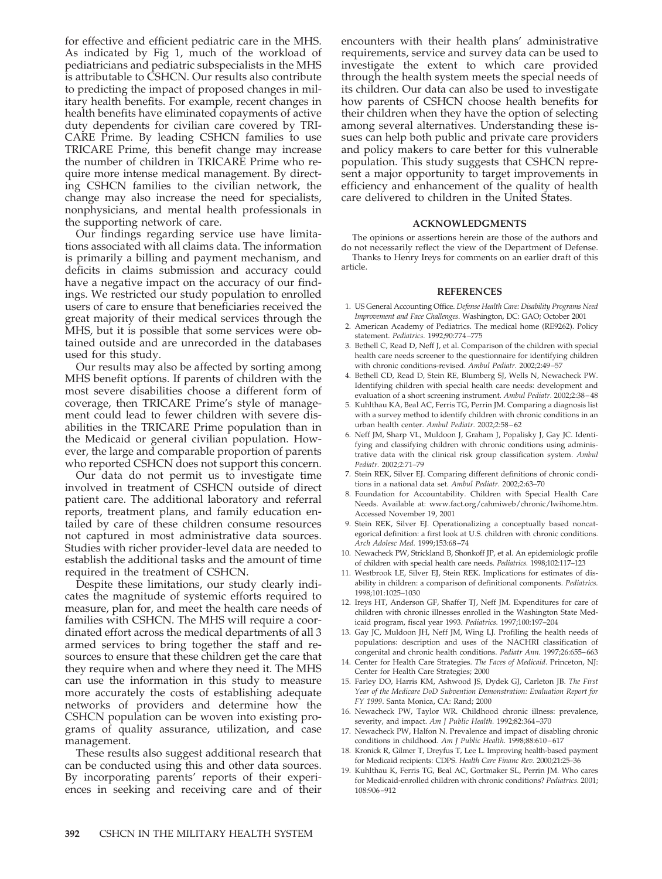for effective and efficient pediatric care in the MHS. As indicated by Fig 1, much of the workload of pediatricians and pediatric subspecialists in the MHS is attributable to CSHCN. Our results also contribute to predicting the impact of proposed changes in military health benefits. For example, recent changes in health benefits have eliminated copayments of active duty dependents for civilian care covered by TRI-CARE Prime. By leading CSHCN families to use TRICARE Prime, this benefit change may increase the number of children in TRICARE Prime who require more intense medical management. By directing CSHCN families to the civilian network, the change may also increase the need for specialists, nonphysicians, and mental health professionals in the supporting network of care.

Our findings regarding service use have limitations associated with all claims data. The information is primarily a billing and payment mechanism, and deficits in claims submission and accuracy could have a negative impact on the accuracy of our findings. We restricted our study population to enrolled users of care to ensure that beneficiaries received the great majority of their medical services through the MHS, but it is possible that some services were obtained outside and are unrecorded in the databases used for this study.

Our results may also be affected by sorting among MHS benefit options. If parents of children with the most severe disabilities choose a different form of coverage, then TRICARE Prime's style of management could lead to fewer children with severe disabilities in the TRICARE Prime population than in the Medicaid or general civilian population. However, the large and comparable proportion of parents who reported CSHCN does not support this concern.

Our data do not permit us to investigate time involved in treatment of CSHCN outside of direct patient care. The additional laboratory and referral reports, treatment plans, and family education entailed by care of these children consume resources not captured in most administrative data sources. Studies with richer provider-level data are needed to establish the additional tasks and the amount of time required in the treatment of CSHCN.

Despite these limitations, our study clearly indicates the magnitude of systemic efforts required to measure, plan for, and meet the health care needs of families with CSHCN. The MHS will require a coordinated effort across the medical departments of all 3 armed services to bring together the staff and resources to ensure that these children get the care that they require when and where they need it. The MHS can use the information in this study to measure more accurately the costs of establishing adequate networks of providers and determine how the CSHCN population can be woven into existing programs of quality assurance, utilization, and case management.

These results also suggest additional research that can be conducted using this and other data sources. By incorporating parents' reports of their experiences in seeking and receiving care and of their

encounters with their health plans' administrative requirements, service and survey data can be used to investigate the extent to which care provided through the health system meets the special needs of its children. Our data can also be used to investigate how parents of CSHCN choose health benefits for their children when they have the option of selecting among several alternatives. Understanding these issues can help both public and private care providers and policy makers to care better for this vulnerable population. This study suggests that CSHCN represent a major opportunity to target improvements in efficiency and enhancement of the quality of health care delivered to children in the United States.

#### **ACKNOWLEDGMENTS**

The opinions or assertions herein are those of the authors and do not necessarily reflect the view of the Department of Defense.

Thanks to Henry Ireys for comments on an earlier draft of this article.

#### **REFERENCES**

- 1. US General Accounting Office. *Defense Health Care: Disability Programs Need Improvement and Face Challenges*. Washington, DC: GAO; October 2001
- 2. American Academy of Pediatrics. The medical home (RE9262). Policy statement. *Pediatrics.* 1992;90:774–775
- 3. Bethell C, Read D, Neff J, et al. Comparison of the children with special health care needs screener to the questionnaire for identifying children with chronic conditions-revised. *Ambul Pediatr.* 2002;2:49–57
- 4. Bethell CD, Read D, Stein RE, Blumberg SJ, Wells N, Newacheck PW. Identifying children with special health care needs: development and evaluation of a short screening instrument. *Ambul Pediatr.* 2002;2:38–48
- 5. Kuhlthau KA, Beal AC, Ferris TG, Perrin JM. Comparing a diagnosis list with a survey method to identify children with chronic conditions in an urban health center. *Ambul Pediatr.* 2002;2:58–62
- 6. Neff JM, Sharp VL, Muldoon J, Graham J, Popalisky J, Gay JC. Identifying and classifying children with chronic conditions using administrative data with the clinical risk group classification system. *Ambul Pediatr.* 2002;2:71–79
- 7. Stein REK, Silver EJ. Comparing different definitions of chronic conditions in a national data set. *Ambul Pediatr.* 2002;2:63–70
- 8. Foundation for Accountability. Children with Special Health Care Needs. Available at: www.fact.org/cahmiweb/chronic/lwihome.htm. Accessed November 19, 2001
- 9. Stein REK, Silver EJ. Operationalizing a conceptually based noncategorical definition: a first look at U.S. children with chronic conditions. *Arch Adolesc Med.* 1999;153:68–74
- 10. Newacheck PW, Strickland B, Shonkoff JP, et al. An epidemiologic profile of children with special health care needs. *Pediatrics.* 1998;102:117–123
- 11. Westbrook LE, Silver EJ, Stein REK. Implications for estimates of disability in children: a comparison of definitional components. *Pediatrics.* 1998;101:1025–1030
- 12. Ireys HT, Anderson GF, Shaffer TJ, Neff JM. Expenditures for care of children with chronic illnesses enrolled in the Washington State Medicaid program, fiscal year 1993. *Pediatrics.* 1997;100:197–204
- 13. Gay JC, Muldoon JH, Neff JM, Wing LJ. Profiling the health needs of populations: description and uses of the NACHRI classification of congenital and chronic health conditions. *Pediatr Ann.* 1997;26:655–663
- 14. Center for Health Care Strategies. *The Faces of Medicaid*. Princeton, NJ: Center for Health Care Strategies; 2000
- 15. Farley DO, Harris KM, Ashwood JS, Dydek GJ, Carleton JB. *The First Year of the Medicare DoD Subvention Demonstration: Evaluation Report for FY 1999*. Santa Monica, CA: Rand; 2000
- 16. Newacheck PW, Taylor WR. Childhood chronic illness: prevalence, severity, and impact. *Am J Public Health.* 1992;82:364–370
- 17. Newacheck PW, Halfon N. Prevalence and impact of disabling chronic conditions in childhood. *Am J Public Health.* 1998;88:610–617
- 18. Kronick R, Gilmer T, Dreyfus T, Lee L. Improving health-based payment for Medicaid recipients: CDPS. *Health Care Financ Rev.* 2000;21:25–36
- 19. Kuhlthau K, Ferris TG, Beal AC, Gortmaker SL, Perrin JM. Who cares for Medicaid-enrolled children with chronic conditions? *Pediatrics.* 2001; 108:906–912